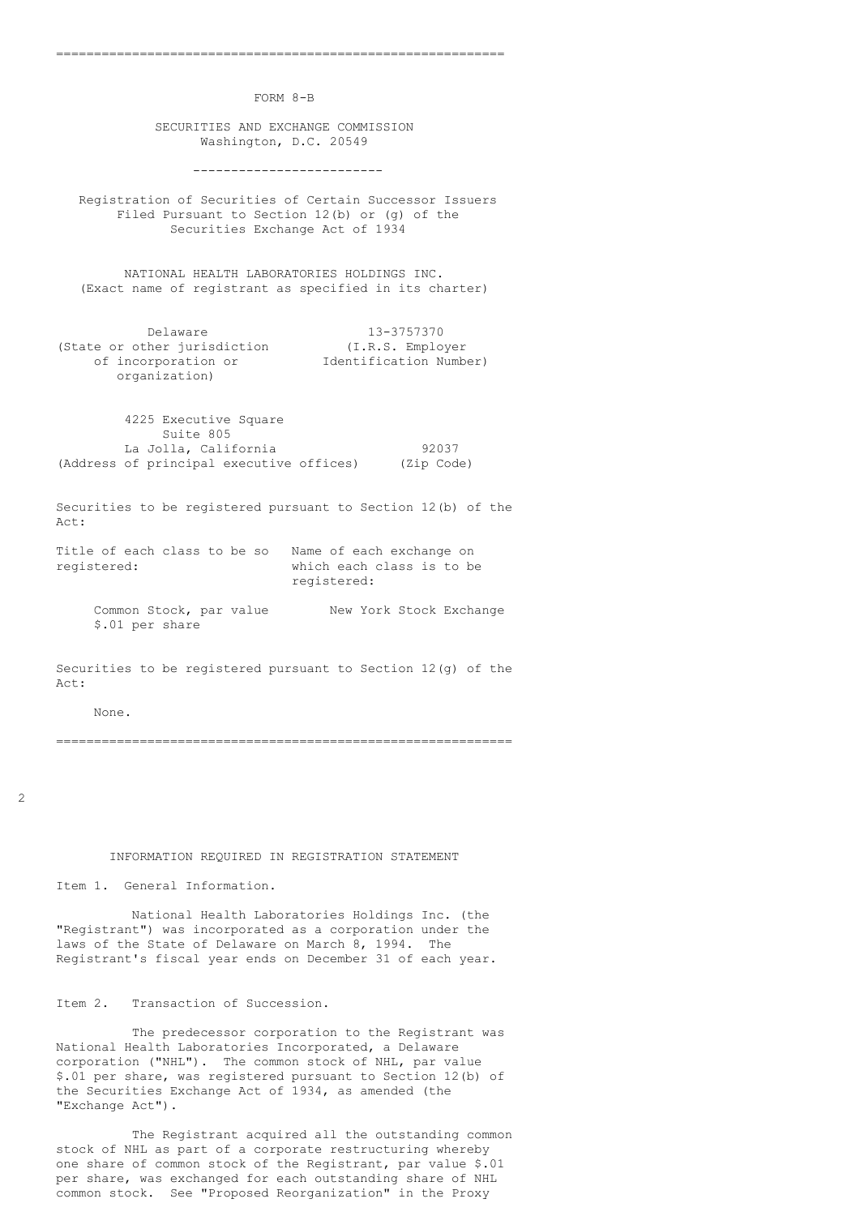FORM 8-B

===========================================================

 SECURITIES AND EXCHANGE COMMISSION Washington, D.C. 20549

-------------------------

 Registration of Securities of Certain Successor Issuers Filed Pursuant to Section 12(b) or (g) of the Securities Exchange Act of 1934

 NATIONAL HEALTH LABORATORIES HOLDINGS INC. (Exact name of registrant as specified in its charter)

 Delaware 13-3757370 (State or other jurisdiction (I.R.S. Employer of incorporation or Identification Number) organization)

 4225 Executive Square Suite 805 La Jolla, California  $92037$ (Address of principal executive offices) (Zip Code)

 Securities to be registered pursuant to Section 12(b) of the Act:

 Title of each class to be so Name of each exchange on registered: which each class is to be registered:

Common Stock, par value New York Stock Exchange \$.01 per share

 Securities to be registered pursuant to Section 12(g) of the Act:

None.

============================================================

2

## INFORMATION REQUIRED IN REGISTRATION STATEMENT

Item 1. General Information.

 National Health Laboratories Holdings Inc. (the "Registrant") was incorporated as a corporation under the laws of the State of Delaware on March 8, 1994. The Registrant's fiscal year ends on December 31 of each year.

Item 2. Transaction of Succession.

 The predecessor corporation to the Registrant was National Health Laboratories Incorporated, a Delaware corporation ("NHL"). The common stock of NHL, par value \$.01 per share, was registered pursuant to Section 12(b) of the Securities Exchange Act of 1934, as amended (the "Exchange Act").

 The Registrant acquired all the outstanding common stock of NHL as part of a corporate restructuring whereby one share of common stock of the Registrant, par value \$.01 per share, was exchanged for each outstanding share of NHL common stock. See "Proposed Reorganization" in the Proxy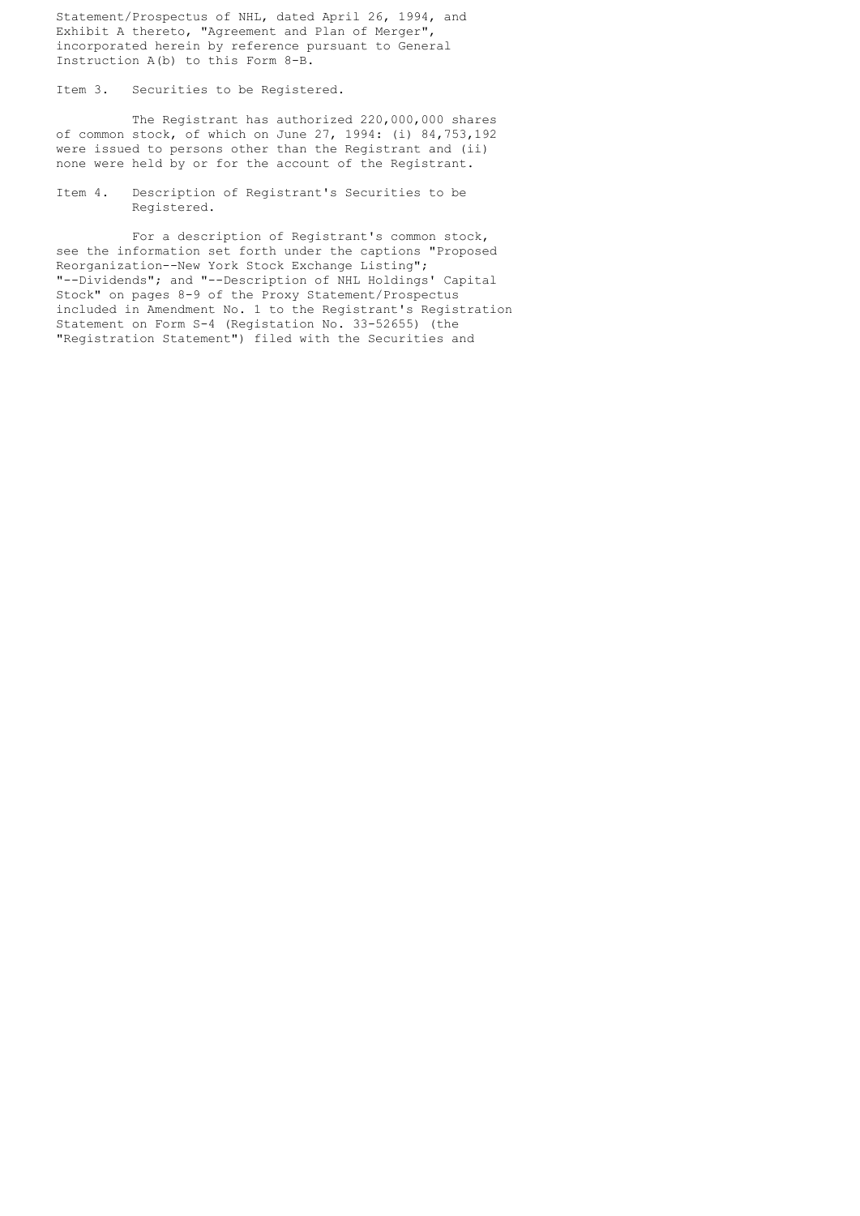Statement/Prospectus of NHL, dated April 26, 1994, and Exhibit A thereto, "Agreement and Plan of Merger", incorporated herein by reference pursuant to General Instruction A(b) to this Form 8-B.

Item 3. Securities to be Registered.

 The Registrant has authorized 220,000,000 shares of common stock, of which on June 27, 1994: (i) 84,753,192 were issued to persons other than the Registrant and (ii) none were held by or for the account of the Registrant.

 Item 4. Description of Registrant's Securities to be Registered.

 For a description of Registrant's common stock, see the information set forth under the captions "Proposed Reorganization--New York Stock Exchange Listing"; "--Dividends"; and "--Description of NHL Holdings' Capital Stock" on pages 8-9 of the Proxy Statement/Prospectus included in Amendment No. 1 to the Registrant's Registration Statement on Form S-4 (Registation No. 33-52655) (the "Registration Statement") filed with the Securities and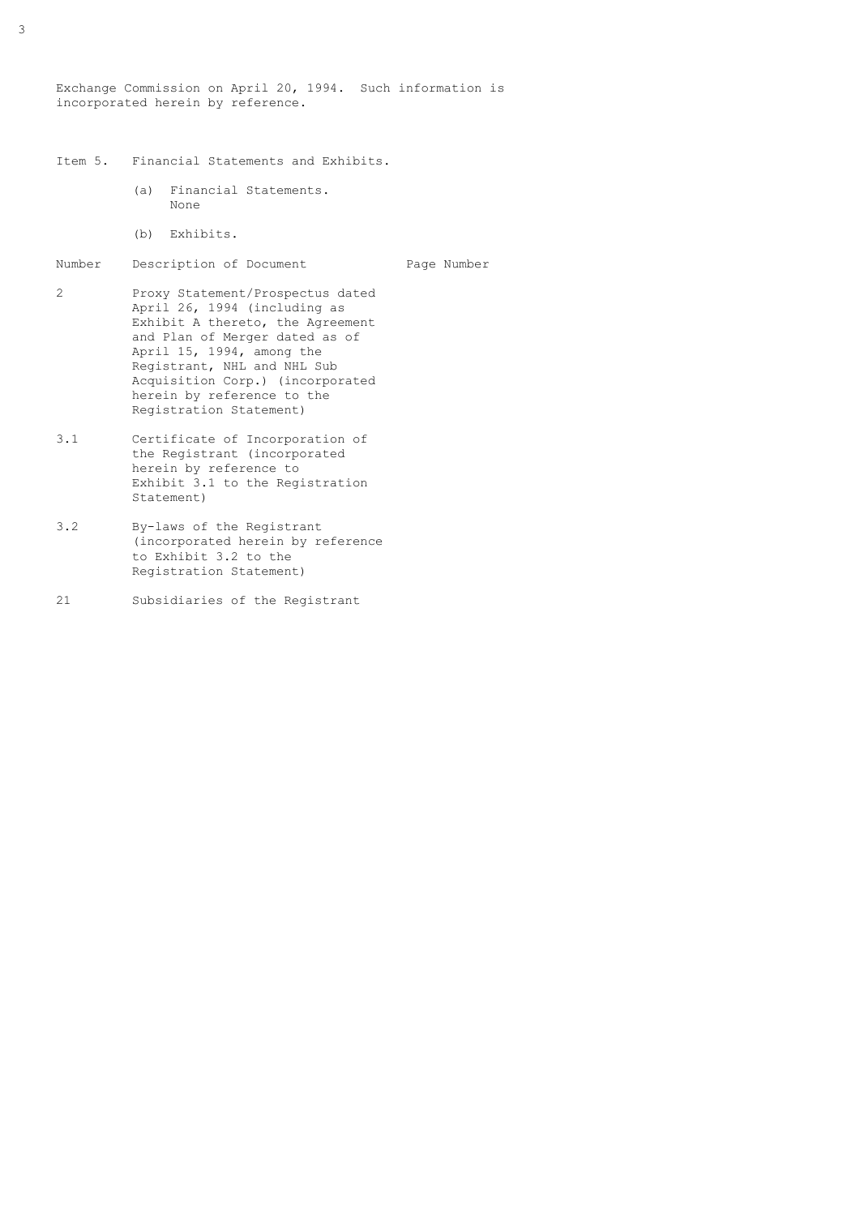Exchange Commission on April 20, 1994. Such information is incorporated herein by reference.

- Item 5. Financial Statements and Exhibits.
	- (a) Financial Statements. None
	- (b) Exhibits.
- Number Description of Document Page Number
- 2 Proxy Statement/Prospectus dated April 26, 1994 (including as Exhibit A thereto, the Agreement and Plan of Merger dated as of April 15, 1994, among the Registrant, NHL and NHL Sub Acquisition Corp.) (incorporated herein by reference to the Registration Statement)
- 3.1 Certificate of Incorporation of the Registrant (incorporated herein by reference to Exhibit 3.1 to the Registration Statement)
- 3.2 By-laws of the Registrant (incorporated herein by reference to Exhibit 3.2 to the Registration Statement)
- 21 Subsidiaries of the Registrant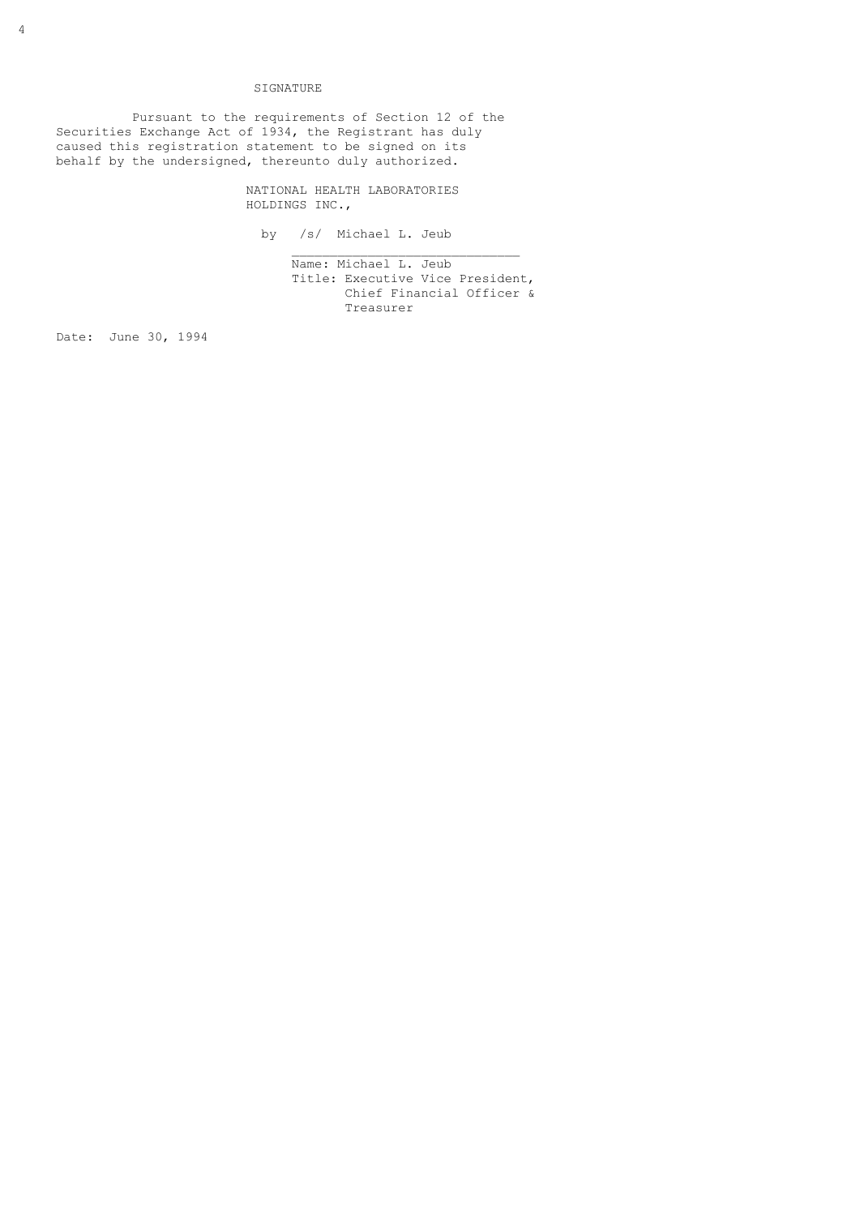## SIGNATURE

 Pursuant to the requirements of Section 12 of the Securities Exchange Act of 1934, the Registrant has duly caused this registration statement to be signed on its behalf by the undersigned, thereunto duly authorized.

 $\mathcal{L}_\text{max}$  , and the set of the set of the set of the set of the set of the set of the set of the set of the set of the set of the set of the set of the set of the set of the set of the set of the set of the set of the

 NATIONAL HEALTH LABORATORIES HOLDINGS INC.,

by /s/ Michael L. Jeub

 Name: Michael L. Jeub Title: Executive Vice President, Chief Financial Officer & Treasurer

Date: June 30, 1994